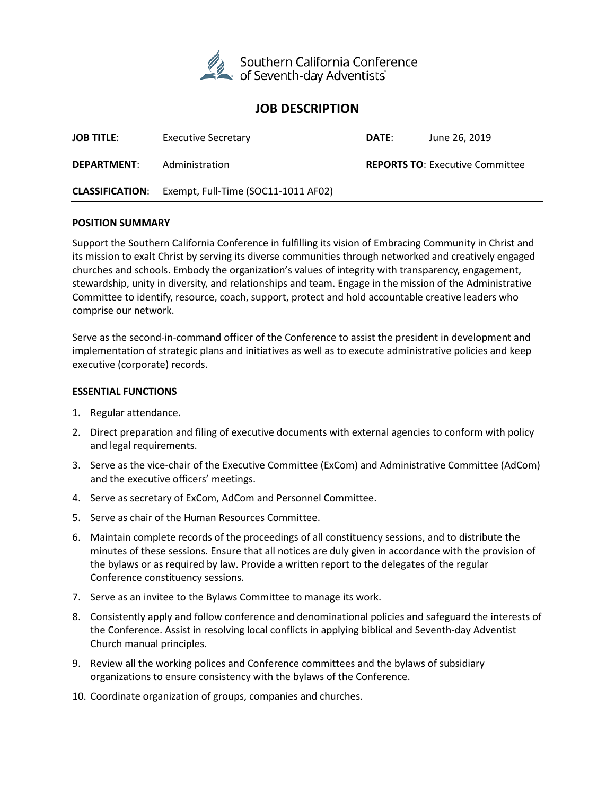

# **JOB DESCRIPTION**

| <b>JOB TITLE:</b>      | <b>Executive Secretary</b>          | DATE: | June 26, 2019                          |
|------------------------|-------------------------------------|-------|----------------------------------------|
| <b>DEPARTMENT:</b>     | Administration                      |       | <b>REPORTS TO: Executive Committee</b> |
| <b>CLASSIFICATION:</b> | Exempt, Full-Time (SOC11-1011 AF02) |       |                                        |

#### **POSITION SUMMARY**

Support the Southern California Conference in fulfilling its vision of Embracing Community in Christ and its mission to exalt Christ by serving its diverse communities through networked and creatively engaged churches and schools. Embody the organization's values of integrity with transparency, engagement, stewardship, unity in diversity, and relationships and team. Engage in the mission of the Administrative Committee to identify, resource, coach, support, protect and hold accountable creative leaders who comprise our network.

Serve as the second-in-command officer of the Conference to assist the president in development and implementation of strategic plans and initiatives as well as to execute administrative policies and keep executive (corporate) records.

#### **ESSENTIAL FUNCTIONS**

- 1. Regular attendance.
- 2. Direct preparation and filing of executive documents with external agencies to conform with policy and legal requirements.
- 3. Serve as the vice-chair of the Executive Committee (ExCom) and Administrative Committee (AdCom) and the executive officers' meetings.
- 4. Serve as secretary of ExCom, AdCom and Personnel Committee.
- 5. Serve as chair of the Human Resources Committee.
- 6. Maintain complete records of the proceedings of all constituency sessions, and to distribute the minutes of these sessions. Ensure that all notices are duly given in accordance with the provision of the bylaws or as required by law. Provide a written report to the delegates of the regular Conference constituency sessions.
- 7. Serve as an invitee to the Bylaws Committee to manage its work.
- 8. Consistently apply and follow conference and denominational policies and safeguard the interests of the Conference. Assist in resolving local conflicts in applying biblical and Seventh-day Adventist Church manual principles.
- 9. Review all the working polices and Conference committees and the bylaws of subsidiary organizations to ensure consistency with the bylaws of the Conference.
- 10. Coordinate organization of groups, companies and churches.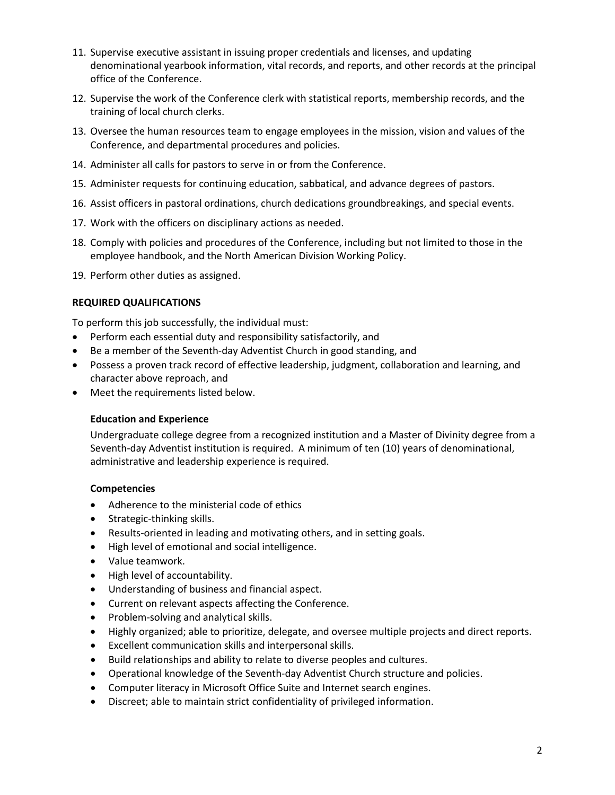- 11. Supervise executive assistant in issuing proper credentials and licenses, and updating denominational yearbook information, vital records, and reports, and other records at the principal office of the Conference.
- 12. Supervise the work of the Conference clerk with statistical reports, membership records, and the training of local church clerks.
- 13. Oversee the human resources team to engage employees in the mission, vision and values of the Conference, and departmental procedures and policies.
- 14. Administer all calls for pastors to serve in or from the Conference.
- 15. Administer requests for continuing education, sabbatical, and advance degrees of pastors.
- 16. Assist officers in pastoral ordinations, church dedications groundbreakings, and special events.
- 17. Work with the officers on disciplinary actions as needed.
- 18. Comply with policies and procedures of the Conference, including but not limited to those in the employee handbook, and the North American Division Working Policy.
- 19. Perform other duties as assigned.

#### **REQUIRED QUALIFICATIONS**

To perform this job successfully, the individual must:

- Perform each essential duty and responsibility satisfactorily, and
- Be a member of the Seventh-day Adventist Church in good standing, and
- Possess a proven track record of effective leadership, judgment, collaboration and learning, and character above reproach, and
- Meet the requirements listed below.

## **Education and Experience**

Undergraduate college degree from a recognized institution and a Master of Divinity degree from a Seventh-day Adventist institution is required. A minimum of ten (10) years of denominational, administrative and leadership experience is required.

## **Competencies**

- Adherence to the ministerial code of ethics
- Strategic-thinking skills.
- Results-oriented in leading and motivating others, and in setting goals.
- High level of emotional and social intelligence.
- Value teamwork.
- High level of accountability.
- Understanding of business and financial aspect.
- Current on relevant aspects affecting the Conference.
- Problem-solving and analytical skills.
- Highly organized; able to prioritize, delegate, and oversee multiple projects and direct reports.
- Excellent communication skills and interpersonal skills.
- Build relationships and ability to relate to diverse peoples and cultures.
- Operational knowledge of the Seventh-day Adventist Church structure and policies.
- Computer literacy in Microsoft Office Suite and Internet search engines.
- Discreet; able to maintain strict confidentiality of privileged information.